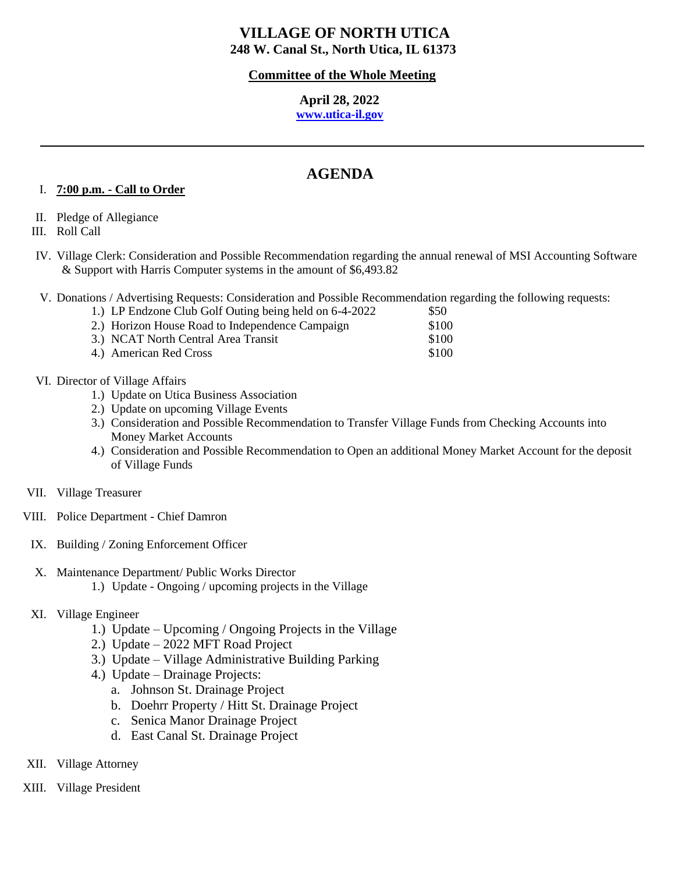## **Committee of the Whole Meeting**

# **April 28, 2022**

# **[www.utica-il.gov](http://www.utica-il.gov/)**

# **AGENDA**

## I. **7:00 p.m. - Call to Order**

II. Pledge of Allegiance

III. Roll Call

- IV. Village Clerk: Consideration and Possible Recommendation regarding the annual renewal of MSI Accounting Software & Support with Harris Computer systems in the amount of \$6,493.82
- V. Donations / Advertising Requests: Consideration and Possible Recommendation regarding the following requests:

| 1.) LP Endzone Club Golf Outing being held on 6-4-2022 | \$50  |
|--------------------------------------------------------|-------|
| 2.) Horizon House Road to Independence Campaign        | \$100 |
| 3.) NCAT North Central Area Transit                    | \$100 |
| 4.) American Red Cross                                 | \$100 |

- VI. Director of Village Affairs
	- 1.) Update on Utica Business Association
	- 2.) Update on upcoming Village Events
	- 3.) Consideration and Possible Recommendation to Transfer Village Funds from Checking Accounts into Money Market Accounts
	- 4.) Consideration and Possible Recommendation to Open an additional Money Market Account for the deposit of Village Funds
- VII. Village Treasurer
- VIII. Police Department Chief Damron
- IX. Building / Zoning Enforcement Officer
- X. Maintenance Department/ Public Works Director 1.) Update - Ongoing / upcoming projects in the Village
- XI. Village Engineer
	- 1.) Update Upcoming / Ongoing Projects in the Village
	- 2.) Update 2022 MFT Road Project
	- 3.) Update Village Administrative Building Parking
	- 4.) Update Drainage Projects:
		- a. Johnson St. Drainage Project
		- b. Doehrr Property / Hitt St. Drainage Project
		- c. Senica Manor Drainage Project
		- d. East Canal St. Drainage Project
- XII. Village Attorney
- XIII. Village President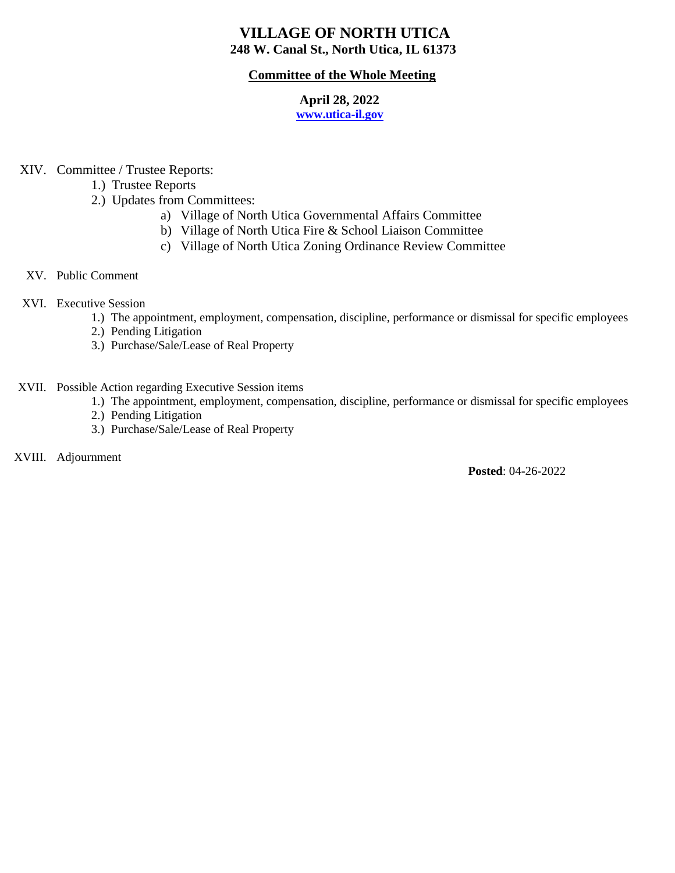## **Committee of the Whole Meeting**

# **April 28, 2022**

# **[www.utica-il.gov](http://www.utica-il.gov/)**

- XIV. Committee / Trustee Reports:
	- 1.) Trustee Reports
	- 2.) Updates from Committees:
		- a) Village of North Utica Governmental Affairs Committee
		- b) Village of North Utica Fire & School Liaison Committee
		- c) Village of North Utica Zoning Ordinance Review Committee
- XV. Public Comment
- XVI. Executive Session
	- 1.) The appointment, employment, compensation, discipline, performance or dismissal for specific employees
	- 2.) Pending Litigation
	- 3.) Purchase/Sale/Lease of Real Property
- XVII. Possible Action regarding Executive Session items
	- 1.) The appointment, employment, compensation, discipline, performance or dismissal for specific employees
	- 2.) Pending Litigation
	- 3.) Purchase/Sale/Lease of Real Property
- XVIII. Adjournment

**Posted**: 04-26-2022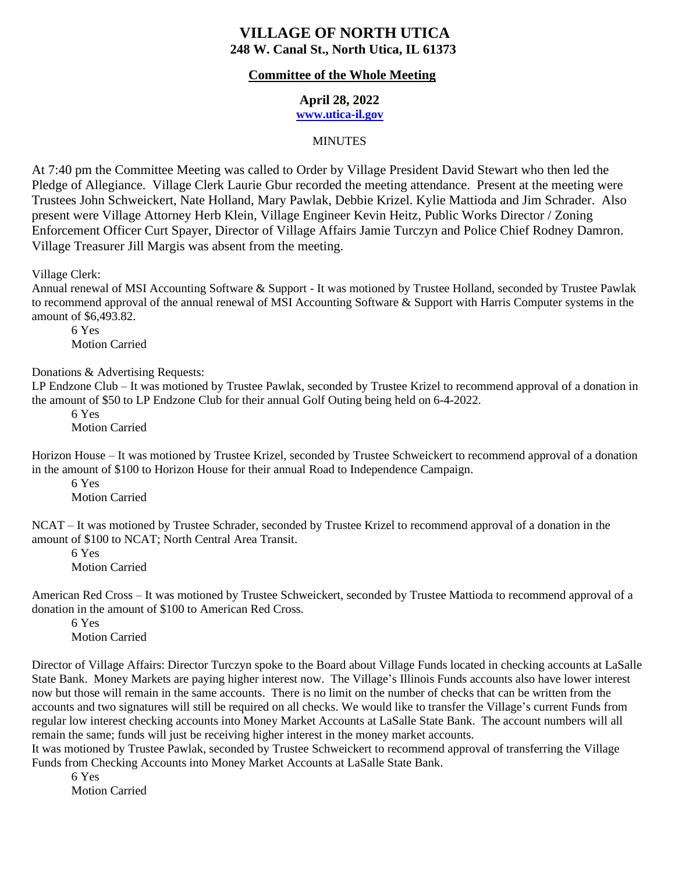#### **Committee of the Whole Meeting**

 **April 28, 2022**

 **[www.utica-il.gov](http://www.utica-il.gov/)**

#### **MINUTES**

At 7:40 pm the Committee Meeting was called to Order by Village President David Stewart who then led the Pledge of Allegiance. Village Clerk Laurie Gbur recorded the meeting attendance. Present at the meeting were Trustees John Schweickert, Nate Holland, Mary Pawlak, Debbie Krizel. Kylie Mattioda and Jim Schrader. Also present were Village Attorney Herb Klein, Village Engineer Kevin Heitz, Public Works Director / Zoning Enforcement Officer Curt Spayer, Director of Village Affairs Jamie Turczyn and Police Chief Rodney Damron. Village Treasurer Jill Margis was absent from the meeting.

Village Clerk:

Annual renewal of MSI Accounting Software & Support - It was motioned by Trustee Holland, seconded by Trustee Pawlak to recommend approval of the annual renewal of MSI Accounting Software & Support with Harris Computer systems in the amount of \$6,493.82.

6 Yes Motion Carried

Donations & Advertising Requests:

LP Endzone Club – It was motioned by Trustee Pawlak, seconded by Trustee Krizel to recommend approval of a donation in the amount of \$50 to LP Endzone Club for their annual Golf Outing being held on 6-4-2022.

6 Yes Motion Carried

Horizon House – It was motioned by Trustee Krizel, seconded by Trustee Schweickert to recommend approval of a donation in the amount of \$100 to Horizon House for their annual Road to Independence Campaign.

6 Yes

Motion Carried

NCAT – It was motioned by Trustee Schrader, seconded by Trustee Krizel to recommend approval of a donation in the amount of \$100 to NCAT; North Central Area Transit.

6 Yes Motion Carried

American Red Cross – It was motioned by Trustee Schweickert, seconded by Trustee Mattioda to recommend approval of a donation in the amount of \$100 to American Red Cross.

6 Yes Motion Carried

Director of Village Affairs: Director Turczyn spoke to the Board about Village Funds located in checking accounts at LaSalle State Bank. Money Markets are paying higher interest now. The Village's Illinois Funds accounts also have lower interest now but those will remain in the same accounts. There is no limit on the number of checks that can be written from the accounts and two signatures will still be required on all checks. We would like to transfer the Village's current Funds from regular low interest checking accounts into Money Market Accounts at LaSalle State Bank. The account numbers will all remain the same; funds will just be receiving higher interest in the money market accounts.

It was motioned by Trustee Pawlak, seconded by Trustee Schweickert to recommend approval of transferring the Village Funds from Checking Accounts into Money Market Accounts at LaSalle State Bank.

6 Yes Motion Carried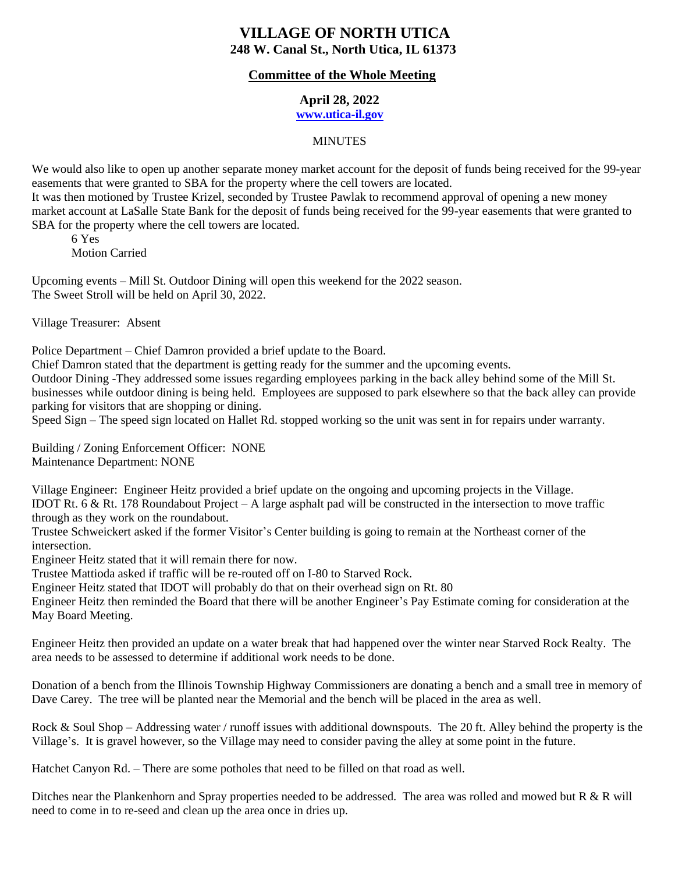## **Committee of the Whole Meeting**

## **April 28, 2022**

# **[www.utica-il.gov](http://www.utica-il.gov/)**

#### **MINUTES**

We would also like to open up another separate money market account for the deposit of funds being received for the 99-year easements that were granted to SBA for the property where the cell towers are located.

It was then motioned by Trustee Krizel, seconded by Trustee Pawlak to recommend approval of opening a new money market account at LaSalle State Bank for the deposit of funds being received for the 99-year easements that were granted to SBA for the property where the cell towers are located.

6 Yes Motion Carried

Upcoming events – Mill St. Outdoor Dining will open this weekend for the 2022 season. The Sweet Stroll will be held on April 30, 2022.

Village Treasurer: Absent

Police Department – Chief Damron provided a brief update to the Board.

Chief Damron stated that the department is getting ready for the summer and the upcoming events.

Outdoor Dining -They addressed some issues regarding employees parking in the back alley behind some of the Mill St. businesses while outdoor dining is being held. Employees are supposed to park elsewhere so that the back alley can provide parking for visitors that are shopping or dining.

Speed Sign – The speed sign located on Hallet Rd. stopped working so the unit was sent in for repairs under warranty.

Building / Zoning Enforcement Officer: NONE Maintenance Department: NONE

Village Engineer: Engineer Heitz provided a brief update on the ongoing and upcoming projects in the Village. IDOT Rt. 6 & Rt. 178 Roundabout Project – A large asphalt pad will be constructed in the intersection to move traffic through as they work on the roundabout.

Trustee Schweickert asked if the former Visitor's Center building is going to remain at the Northeast corner of the intersection.

Engineer Heitz stated that it will remain there for now.

Trustee Mattioda asked if traffic will be re-routed off on I-80 to Starved Rock.

Engineer Heitz stated that IDOT will probably do that on their overhead sign on Rt. 80

Engineer Heitz then reminded the Board that there will be another Engineer's Pay Estimate coming for consideration at the May Board Meeting.

Engineer Heitz then provided an update on a water break that had happened over the winter near Starved Rock Realty. The area needs to be assessed to determine if additional work needs to be done.

Donation of a bench from the Illinois Township Highway Commissioners are donating a bench and a small tree in memory of Dave Carey. The tree will be planted near the Memorial and the bench will be placed in the area as well.

Rock & Soul Shop – Addressing water / runoff issues with additional downspouts. The 20 ft. Alley behind the property is the Village's. It is gravel however, so the Village may need to consider paving the alley at some point in the future.

Hatchet Canyon Rd. – There are some potholes that need to be filled on that road as well.

Ditches near the Plankenhorn and Spray properties needed to be addressed. The area was rolled and mowed but R & R will need to come in to re-seed and clean up the area once in dries up.